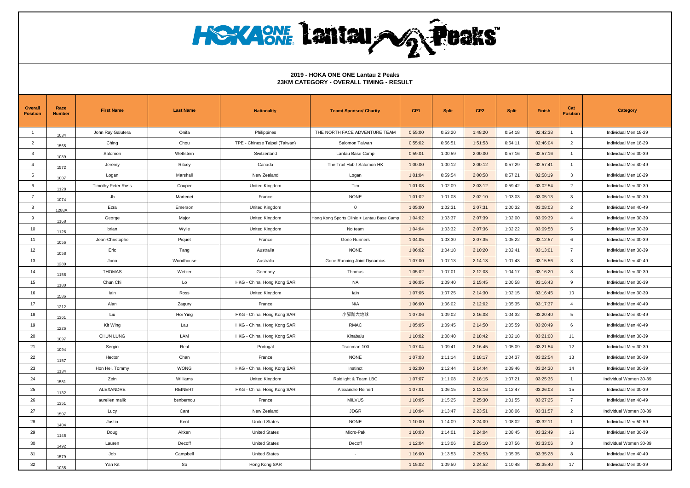| <b>Overall</b><br><b>Position</b> | Race<br><b>Number</b> | <b>First Name</b>         | <b>Last Name</b> | <b>Nationality</b>            | <b>Team/ Sponsor/ Charity</b>              | CP <sub>1</sub> | <b>Split</b> | CP <sub>2</sub> | <b>Split</b> | Finish   | Cat<br><b>Position</b> | <b>Category</b>        |
|-----------------------------------|-----------------------|---------------------------|------------------|-------------------------------|--------------------------------------------|-----------------|--------------|-----------------|--------------|----------|------------------------|------------------------|
| $\overline{1}$                    | 1034                  | John Ray Galutera         | Onifa            | Philippines                   | THE NORTH FACE ADVENTURE TEAM              | 0:55:00         | 0:53:20      | 1:48:20         | 0:54:18      | 02:42:38 | $\overline{1}$         | Individual Men 18-29   |
| $\overline{2}$                    | 1565                  | Ching                     | Chou             | TPE - Chinese Taipei (Taiwan) | Salomon Taiwan                             | 0:55:02         | 0:56:51      | 1:51:53         | 0:54:11      | 02:46:04 | 2                      | Individual Men 18-29   |
| $\mathbf{3}$                      | 1089                  | Salomon                   | Wettstein        | Switzerland                   | Lantau Base Camp                           | 0:59:01         | 1:00:59      | 2:00:00         | 0:57:16      | 02:57:16 | $\overline{1}$         | Individual Men 30-39   |
| $\overline{4}$                    | 1572                  | Jeremy                    | Ritcey           | Canada                        | The Trail Hub / Salomon HK                 | 1:00:00         | 1:00:12      | 2:00:12         | 0:57:29      | 02:57:41 | $\overline{1}$         | Individual Men 40-49   |
| 5                                 | 1007                  | Logan                     | Marshall         | New Zealand                   | Logan                                      | 1:01:04         | 0:59:54      | 2:00:58         | 0:57:21      | 02:58:19 | $\mathbf{3}$           | Individual Men 18-29   |
| 6                                 | 1128                  | <b>Timothy Peter Ross</b> | Couper           | United Kingdom                | Tim                                        | 1:01:03         | 1:02:09      | 2:03:12         | 0:59:42      | 03:02:54 | $\overline{2}$         | Individual Men 30-39   |
| $\overline{7}$                    | 1074                  | Jb                        | Martenet         | France                        | <b>NONE</b>                                | 1:01:02         | 1:01:08      | 2:02:10         | 1:03:03      | 03:05:13 | $\mathbf{3}$           | Individual Men 30-39   |
| 8                                 | 1288A                 | Ezra                      | Emerson          | United Kingdom                | $\mathbf 0$                                | 1:05:00         | 1:02:31      | 2:07:31         | 1:00:32      | 03:08:03 | 2                      | Individual Men 40-49   |
| 9                                 | 1168                  | George                    | Major            | United Kingdom                | Hong Kong Sports Clinic + Lantau Base Camp | 1:04:02         | 1:03:37      | 2:07:39         | 1:02:00      | 03:09:39 | $\overline{4}$         | Individual Men 30-39   |
| 10                                | 1126                  | brian                     | Wylie            | United Kingdom                | No team                                    | 1:04:04         | 1:03:32      | 2:07:36         | 1:02:22      | 03:09:58 | 5                      | Individual Men 30-39   |
| 11                                | 1056                  | Jean-Christophe           | Piquet           | France                        | Gone Runners                               | 1:04:05         | 1:03:30      | 2:07:35         | 1:05:22      | 03:12:57 | 6                      | Individual Men 30-39   |
| 12                                | 1058                  | Eric                      | Tang             | Australia                     | <b>NONE</b>                                | 1:06:02         | 1:04:18      | 2:10:20         | 1:02:41      | 03:13:01 | $\overline{7}$         | Individual Men 30-39   |
| 13                                | 1280                  | Jono                      | Woodhouse        | Australia                     | Gone Running Joint Dynamics                | 1:07:00         | 1:07:13      | 2:14:13         | 1:01:43      | 03:15:56 | $\mathbf{3}$           | Individual Men 40-49   |
| 14                                | 1158                  | <b>THOMAS</b>             | Wetzer           | Germany                       | Thomas                                     | 1:05:02         | 1:07:01      | 2:12:03         | 1:04:17      | 03:16:20 | 8                      | Individual Men 30-39   |
| 15                                | 1180                  | Chun Chi                  | Lo               | HKG - China, Hong Kong SAR    | <b>NA</b>                                  | 1:06:05         | 1:09:40      | 2:15:45         | 1:00:58      | 03:16:43 | 9                      | Individual Men 30-39   |
| 16                                | 1586                  | lain                      | Ross             | United Kingdom                | lain                                       | 1:07:05         | 1:07:25      | 2:14:30         | 1:02:15      | 03:16:45 | 10                     | Individual Men 30-39   |
| 17                                | 1212                  | Alan                      | Zagury           | France                        | N/A                                        | 1:06:00         | 1:06:02      | 2:12:02         | 1:05:35      | 03:17:37 | $\overline{4}$         | Individual Men 40-49   |
| 18                                | 1361                  | Liu                       | Hoi Ying         | HKG - China, Hong Kong SAR    | 小腳趾大地球                                     | 1:07:06         | 1:09:02      | 2:16:08         | 1:04:32      | 03:20:40 | 5                      | Individual Men 40-49   |
| 19                                | 1226                  | Kit Wing                  | Lau              | HKG - China, Hong Kong SAR    | RMAC                                       | 1:05:05         | 1:09:45      | 2:14:50         | 1:05:59      | 03:20:49 | 6                      | Individual Men 40-49   |
| 20                                | 1097                  | <b>CHUN LUNG</b>          | LAM              | HKG - China, Hong Kong SAR    | Kinabalu                                   | 1:10:02         | 1:08:40      | 2:18:42         | 1:02:18      | 03:21:00 | 11                     | Individual Men 30-39   |
| 21                                | 1094                  | Sergio                    | Real             | Portugal                      | Trainman 100                               | 1:07:04         | 1:09:41      | 2:16:45         | 1:05:09      | 03:21:54 | 12                     | Individual Men 30-39   |
| 22                                | 1157                  | Hector                    | Chan             | France                        | <b>NONE</b>                                | 1:07:03         | 1:11:14      | 2:18:17         | 1:04:37      | 03:22:54 | 13                     | Individual Men 30-39   |
| 23                                | 1134                  | Hon Hei, Tommy            | <b>WONG</b>      | HKG - China, Hong Kong SAR    | Instinct                                   | 1:02:00         | 1:12:44      | 2:14:44         | 1:09:46      | 03:24:30 | 14                     | Individual Men 30-39   |
| 24                                | 1581                  | Zein                      | Williams         | United Kingdom                | Raidlight & Team LBC                       | 1:07:07         | 1:11:08      | 2:18:15         | 1:07:21      | 03:25:36 | $\overline{1}$         | Individual Women 30-39 |
| 25                                | 1132                  | ALEXANDRE                 | <b>REINERT</b>   | HKG - China, Hong Kong SAR    | Alexandre Reinert                          | 1:07:01         | 1:06:15      | 2:13:16         | 1:12:47      | 03:26:03 | 15                     | Individual Men 30-39   |
| 26                                | 1351                  | aurelien malik            | benbernou        | France                        | <b>MILVUS</b>                              | 1:10:05         | 1:15:25      | 2:25:30         | 1:01:55      | 03:27:25 | $\overline{7}$         | Individual Men 40-49   |
| 27                                | 1507                  | Lucy                      | Cant             | New Zealand                   | <b>JDGR</b>                                | 1:10:04         | 1:13:47      | 2:23:51         | 1:08:06      | 03:31:57 | $\overline{2}$         | Individual Women 30-39 |
| 28                                | 1404                  | Justin                    | Kent             | <b>United States</b>          | <b>NONE</b>                                | 1:10:00         | 1:14:09      | 2:24:09         | 1:08:02      | 03:32:11 | $\overline{1}$         | Individual Men 50-59   |
| 29                                | 1146                  | Doug                      | Aitken           | <b>United States</b>          | Micro-Pak                                  | 1:10:03         | 1:14:01      | 2:24:04         | 1:08:45      | 03:32:49 | 16                     | Individual Men 30-39   |
| 30                                | 1492                  | Lauren                    | Decoff           | <b>United States</b>          | Decoff                                     | 1:12:04         | 1:13:06      | 2:25:10         | 1:07:56      | 03:33:06 | $\mathbf{3}$           | Individual Women 30-39 |
| 31                                | 1579                  | Job                       | Campbell         | <b>United States</b>          | $\sim$                                     | 1:16:00         | 1:13:53      | 2:29:53         | 1:05:35      | 03:35:28 | 8                      | Individual Men 40-49   |
| 32                                | 1035                  | Yan Kit                   | So               | Hong Kong SAR                 |                                            | 1:15:02         | 1:09:50      | 2:24:52         | 1:10:48      | 03:35:40 | 17                     | Individual Men 30-39   |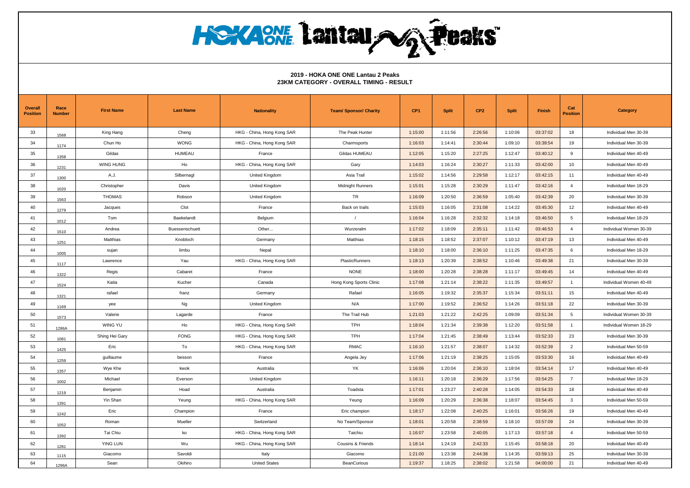| Overall<br><b>Position</b> | Race<br><b>Number</b> | <b>First Name</b> | <b>Last Name</b> | <b>Nationality</b>         | <b>Team/ Sponsor/ Charity</b> | CP <sub>1</sub> | <b>Split</b> | CP <sub>2</sub> | <b>Split</b> | Finish   | Cat<br><b>Position</b> | <b>Category</b>        |
|----------------------------|-----------------------|-------------------|------------------|----------------------------|-------------------------------|-----------------|--------------|-----------------|--------------|----------|------------------------|------------------------|
| 33                         | 1568                  | King Hang         | Cheng            | HKG - China, Hong Kong SAR | The Peak Hunter               | 1:15:00         | 1:11:56      | 2:26:56         | 1:10:06      | 03:37:02 | 18                     | Individual Men 30-39   |
| 34                         | 1174                  | Chun Ho           | <b>WONG</b>      | HKG - China, Hong Kong SAR | Charmsports                   | 1:16:03         | 1:14:41      | 2:30:44         | 1:09:10      | 03:39:54 | 19                     | Individual Men 30-39   |
| 35                         | 1358                  | Gildas            | <b>HUMEAU</b>    | France                     | Gildas HUMEAU                 | 1:12:05         | 1:15:20      | 2:27:25         | 1:12:47      | 03:40:12 | 9                      | Individual Men 40-49   |
| 36                         | 1231                  | WING HUNG         | Ho               | HKG - China, Hong Kong SAR | Gary                          | 1:14:03         | 1:16:24      | 2:30:27         | 1:11:33      | 03:42:00 | 10                     | Individual Men 40-49   |
| 37                         | 1300                  | A.J.              | Silbernagl       | United Kingdom             | Asia Trail                    | 1:15:02         | 1:14:56      | 2:29:58         | 1:12:17      | 03:42:15 | 11                     | Individual Men 40-49   |
| 38                         | 1020                  | Christopher       | Davis            | United Kingdom             | <b>Midnight Runners</b>       | 1:15:01         | 1:15:28      | 2:30:29         | 1:11:47      | 03:42:16 | $\overline{4}$         | Individual Men 18-29   |
| 39                         | 1563                  | <b>THOMAS</b>     | Robson           | United Kingdom             | <b>TR</b>                     | 1:16:09         | 1:20:50      | 2:36:59         | 1:05:40      | 03:42:39 | 20                     | Individual Men 30-39   |
| 40                         | 1279                  | Jacques           | Clot             | France                     | Back on trails                | 1:15:03         | 1:16:05      | 2:31:08         | 1:14:22      | 03:45:30 | 12                     | Individual Men 40-49   |
| 41                         | 1012                  | Tom               | Baekelandt       | Belgium                    | $\sqrt{ }$                    | 1:16:04         | 1:16:28      | 2:32:32         | 1:14:18      | 03:46:50 | 5                      | Individual Men 18-29   |
| 42                         | 1510                  | Andrea            | Buessenschuett   | Other                      | Wurzeralm                     | 1:17:02         | 1:18:09      | 2:35:11         | 1:11:42      | 03:46:53 | $\overline{4}$         | Individual Women 30-39 |
| 43                         | 1251                  | Matthias          | Knobloch         | Germany                    | Matthias                      | 1:18:15         | 1:18:52      | 2:37:07         | 1:10:12      | 03:47:19 | 13                     | Individual Men 40-49   |
| 44                         | 1005                  | sujan             | limbu            | Nepal                      |                               | 1:18:10         | 1:18:00      | 2:36:10         | 1:11:25      | 03:47:35 | 6                      | Individual Men 18-29   |
| 45                         | 1117                  | Lawrence          | Yau              | HKG - China, Hong Kong SAR | PlasticRunners                | 1:18:13         | 1:20:39      | 2:38:52         | 1:10:46      | 03:49:38 | 21                     | Individual Men 30-39   |
| 46                         | 1322                  | Regis             | Cabaret          | France                     | <b>NONE</b>                   | 1:18:00         | 1:20:28      | 2:38:28         | 1:11:17      | 03:49:45 | 14                     | Individual Men 40-49   |
| 47                         | 1524                  | Katia             | Kucher           | Canada                     | Hong Kong Sports Clinic       | 1:17:08         | 1:21:14      | 2:38:22         | 1:11:35      | 03:49:57 | $\overline{1}$         | Individual Women 40-49 |
| 48                         | 1321                  | rafael            | franz            | Germany                    | Rafael                        | 1:16:05         | 1:19:32      | 2:35:37         | 1:15:34      | 03:51:11 | 15                     | Individual Men 40-49   |
| 49                         | 1169                  | yee               | Ng               | United Kingdom             | N/A                           | 1:17:00         | 1:19:52      | 2:36:52         | 1:14:26      | 03:51:18 | 22                     | Individual Men 30-39   |
| 50                         | 1573                  | Valerie           | Lagarde          | France                     | The Trail Hub                 | 1:21:03         | 1:21:22      | 2:42:25         | 1:09:09      | 03:51:34 | 5                      | Individual Women 30-39 |
| 51                         | 1286A                 | WING YU           | Ho               | HKG - China, Hong Kong SAR | <b>TPH</b>                    | 1:18:04         | 1:21:34      | 2:39:38         | 1:12:20      | 03:51:58 | $\overline{1}$         | Individual Women 18-29 |
| 52                         | 1081                  | Shing Hei Gary    | <b>FONG</b>      | HKG - China, Hong Kong SAR | TPH                           | 1:17:04         | 1:21:45      | 2:38:49         | 1:13:44      | 03:52:33 | 23                     | Individual Men 30-39   |
| 53                         | 1425                  | Eric              | To               | HKG - China, Hong Kong SAR | <b>RMAC</b>                   | 1:16:10         | 1:21:57      | 2:38:07         | 1:14:32      | 03:52:39 | $\overline{2}$         | Individual Men 50-59   |
| 54                         | 1259                  | guillaume         | besson           | France                     | Angela Jey                    | 1:17:06         | 1:21:19      | 2:38:25         | 1:15:05      | 03:53:30 | 16                     | Individual Men 40-49   |
| 55                         | 1357                  | Wye Khe           | kwok             | Australia                  | <b>YK</b>                     | 1:16:06         | 1:20:04      | 2:36:10         | 1:18:04      | 03:54:14 | 17                     | Individual Men 40-49   |
| 56                         | 1002                  | Michael           | Everson          | United Kingdom             |                               | 1:16:11         | 1:20:18      | 2:36:29         | 1:17:56      | 03:54:25 | $\overline{7}$         | Individual Men 18-29   |
| 57                         | 1219                  | Benjamin          | Hoad             | Australia                  | Toadsta                       | 1:17:01         | 1:23:27      | 2:40:28         | 1:14:05      | 03:54:33 | 18                     | Individual Men 40-49   |
| 58                         | 1391                  | Yin Shan          | Yeung            | HKG - China, Hong Kong SAR | Yeung                         | 1:16:09         | 1:20:29      | 2:36:38         | 1:18:07      | 03:54:45 | $\mathbf{3}$           | Individual Men 50-59   |
| 59                         | 1242                  | Eric              | Champion         | France                     | Eric champion                 | 1:18:17         | 1:22:08      | 2:40:25         | 1:16:01      | 03:56:26 | 19                     | Individual Men 40-49   |
| 60                         | 1052                  | Roman             | Mueller          | Switzerland                | No Team/Sponsor               | 1:18:01         | 1:20:58      | 2:38:59         | 1:18:10      | 03:57:09 | 24                     | Individual Men 30-39   |
| 61                         | 1392                  | Tai Chiu          | ko               | HKG - China, Hong Kong SAR | Taichiu                       | 1:16:07         | 1:23:58      | 2:40:05         | 1:17:13      | 03:57:18 | $\overline{4}$         | Individual Men 50-59   |
| 62                         | 1281                  | YING LUN          | Wu               | HKG - China, Hong Kong SAR | Cousins & Friends             | 1:18:14         | 1:24:19      | 2:42:33         | 1:15:45      | 03:58:18 | 20                     | Individual Men 40-49   |
| 63                         | 1115                  | Giacomo           | Savoldi          | Italy                      | Giacomo                       | 1:21:00         | 1:23:38      | 2:44:38         | 1:14:35      | 03:59:13 | 25                     | Individual Men 30-39   |
| 64                         | 1296A                 | Sean              | Okihiro          | <b>United States</b>       | <b>BeanCurious</b>            | 1:19:37         | 1:18:25      | 2:38:02         | 1:21:58      | 04:00:00 | 21                     | Individual Men 40-49   |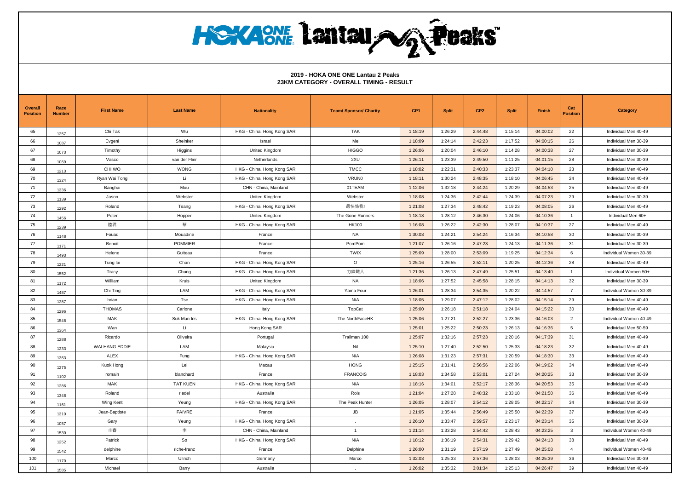| <b>Overall</b><br><b>Position</b> | Race<br><b>Number</b> | <b>First Name</b> | <b>Last Name</b> | <b>Nationality</b>         | <b>Team/ Sponsor/ Charity</b> | CP <sub>1</sub> | <b>Split</b> | CP <sub>2</sub> | <b>Split</b> | Finish   | Cat<br><b>Position</b> | <b>Category</b>        |
|-----------------------------------|-----------------------|-------------------|------------------|----------------------------|-------------------------------|-----------------|--------------|-----------------|--------------|----------|------------------------|------------------------|
| 65                                | 1257                  | Chi Tak           | Wu               | HKG - China, Hong Kong SAR | <b>TAK</b>                    | 1:18:19         | 1:26:29      | 2:44:48         | 1:15:14      | 04:00:02 | 22                     | Individual Men 40-49   |
| 66                                | 1087                  | Evgeni            | Sheinker         | Israel                     | Me                            | 1:18:09         | 1:24:14      | 2:42:23         | 1:17:52      | 04:00:15 | 26                     | Individual Men 30-39   |
| 67                                | 1073                  | Timothy           | Higgins          | United Kingdom             | <b>HIGGO</b>                  | 1:26:06         | 1:20:04      | 2:46:10         | 1:14:28      | 04:00:38 | 27                     | Individual Men 30-39   |
| 68                                | 1069                  | Vasco             | van der Flier    | Netherlands                | 2XU                           | 1:26:11         | 1:23:39      | 2:49:50         | 1:11:25      | 04:01:15 | 28                     | Individual Men 30-39   |
| 69                                | 1213                  | CHI WO            | <b>WONG</b>      | HKG - China, Hong Kong SAR | <b>TMCC</b>                   | 1:18:02         | 1:22:31      | 2:40:33         | 1:23:37      | 04:04:10 | 23                     | Individual Men 40-49   |
| 70                                | 1324                  | Ryan Wai Tong     | Li               | HKG - China, Hong Kong SAR | <b>VRUNO</b>                  | 1:18:11         | 1:30:24      | 2:48:35         | 1:18:10      | 04:06:45 | 24                     | Individual Men 40-49   |
| 71                                | 1336                  | Banghai           | Mou              | CHN - China, Mainland      | 01TEAM                        | 1:12:06         | 1:32:18      | 2:44:24         | 1:20:29      | 04:04:53 | 25                     | Individual Men 40-49   |
| 72                                | 1139                  | Jason             | Webster          | United Kingdom             | Webster                       | 1:18:08         | 1:24:36      | 2:42:44         | 1:24:39      | 04:07:23 | 29                     | Individual Men 30-39   |
| 73                                | 1292                  | Roland            | Tsang            | HKG - China, Hong Kong SAR | 最快係我!                         | 1:21:08         | 1:27:34      | 2:48:42         | 1:19:23      | 04:08:05 | 26                     | Individual Men 40-49   |
| 74                                | 1456                  | Peter             | Hopper           | United Kingdom             | The Gone Runners              | 1:18:18         | 1:28:12      | 2:46:30         | 1:24:06      | 04:10:36 | $\overline{1}$         | Individual Men 60+     |
| 75                                | 1239                  | 陸君                | 蘖                | HKG - China, Hong Kong SAR | <b>HK100</b>                  | 1:16:08         | 1:26:22      | 2:42:30         | 1:28:07      | 04:10:37 | 27                     | Individual Men 40-49   |
| 76                                | 1148                  | Fouad             | Mouadine         | France                     | <b>NA</b>                     | 1:30:03         | 1:24:21      | 2:54:24         | 1:16:34      | 04:10:58 | 30                     | Individual Men 30-39   |
| 77                                | 1171                  | Benoit            | <b>POMMIER</b>   | France                     | PomPom                        | 1:21:07         | 1:26:16      | 2:47:23         | 1:24:13      | 04:11:36 | 31                     | Individual Men 30-39   |
| 78                                | 1493                  | Helene            | Guiteau          | France                     | <b>TWIX</b>                   | 1:25:09         | 1:28:00      | 2:53:09         | 1:19:25      | 04:12:34 | 6                      | Individual Women 30-39 |
| 79                                | 1221                  | Tung lai          | Chan             | HKG - China, Hong Kong SAR | $\circ$                       | 1:25:16         | 1:26:55      | 2:52:11         | 1:20:25      | 04:12:36 | 28                     | Individual Men 40-49   |
| 80                                | 1552                  | Tracy             | Chung            | HKG - China, Hong Kong SAR | 力練鐵人                          | 1:21:36         | 1:26:13      | 2:47:49         | 1:25:51      | 04:13:40 | $\overline{1}$         | Individual Women 50+   |
| 81                                | 1172                  | William           | Kruis            | United Kingdom             | <b>NA</b>                     | 1:18:06         | 1:27:52      | 2:45:58         | 1:28:15      | 04:14:13 | 32                     | Individual Men 30-39   |
| 82                                | 1487                  | Chi Ting          | LAM              | HKG - China, Hong Kong SAR | Yama Four                     | 1:26:01         | 1:28:34      | 2:54:35         | 1:20:22      | 04:14:57 | $\overline{7}$         | Individual Women 30-39 |
| 83                                | 1287                  | brian             | Tse              | HKG - China, Hong Kong SAR | N/A                           | 1:18:05         | 1:29:07      | 2:47:12         | 1:28:02      | 04:15:14 | 29                     | Individual Men 40-49   |
| 84                                | 1296                  | <b>THOMAS</b>     | Carlone          | Italy                      | TopCat                        | 1:25:00         | 1:26:18      | 2:51:18         | 1:24:04      | 04:15:22 | 30                     | Individual Men 40-49   |
| 85                                | 1546                  | MAK               | Suk Man Iris     | HKG - China, Hong Kong SAR | The NorthFaceHK               | 1:25:06         | 1:27:21      | 2:52:27         | 1:23:36      | 04:16:03 | $\overline{2}$         | Individual Women 40-49 |
| 86                                | 1364                  | Wan               | Li               | Hong Kong SAR              |                               | 1:25:01         | 1:25:22      | 2:50:23         | 1:26:13      | 04:16:36 | 5                      | Individual Men 50-59   |
| 87                                | 1288                  | Ricardo           | Oliveira         | Portugal                   | Trailman 100                  | 1:25:07         | 1:32:16      | 2:57:23         | 1:20:16      | 04:17:39 | 31                     | Individual Men 40-49   |
| 88                                | 1233                  | WAI HANG EDDIE    | LAM              | Malaysia                   | Nil                           | 1:25:10         | 1:27:40      | 2:52:50         | 1:25:33      | 04:18:23 | 32                     | Individual Men 40-49   |
| 89                                | 1363                  | <b>ALEX</b>       | Fung             | HKG - China, Hong Kong SAR | N/A                           | 1:26:08         | 1:31:23      | 2:57:31         | 1:20:59      | 04:18:30 | 33                     | Individual Men 40-49   |
| 90                                | 1275                  | Kuok Hong         | Lei              | Macau                      | <b>HONG</b>                   | 1:25:15         | 1:31:41      | 2:56:56         | 1:22:06      | 04:19:02 | 34                     | Individual Men 40-49   |
| 91                                | 1102                  | romain            | blanchard        | France                     | <b>FRANCOIS</b>               | 1:18:03         | 1:34:58      | 2:53:01         | 1:27:24      | 04:20:25 | 33                     | Individual Men 30-39   |
| 92                                | 1286                  | <b>MAK</b>        | <b>TAT KUEN</b>  | HKG - China, Hong Kong SAR | N/A                           | 1:18:16         | 1:34:01      | 2:52:17         | 1:28:36      | 04:20:53 | 35                     | Individual Men 40-49   |
| 93                                | 1348                  | Roland            | riedel           | Australia                  | Rols                          | 1:21:04         | 1:27:28      | 2:48:32         | 1:33:18      | 04:21:50 | 36                     | Individual Men 40-49   |
| 94                                | 1161                  | Wing Kent         | Yeung            | HKG - China, Hong Kong SAR | The Peak Hunter               | 1:26:05         | 1:28:07      | 2:54:12         | 1:28:05      | 04:22:17 | 34                     | Individual Men 30-39   |
| 95                                | 1310                  | Jean-Baptiste     | <b>FAIVRE</b>    | France                     | JB                            | 1:21:05         | 1:35:44      | 2:56:49         | 1:25:50      | 04:22:39 | 37                     | Individual Men 40-49   |
| 96                                | 1057                  | Gary              | Yeung            | HKG - China, Hong Kong SAR |                               | 1:26:10         | 1:33:47      | 2:59:57         | 1:23:17      | 04:23:14 | 35                     | Individual Men 30-39   |
| 97                                | 1530                  | 丰春                | 李                | CHN - China, Mainland      | $\overline{1}$                | 1:21:14         | 1:33:28      | 2:54:42         | 1:28:43      | 04:23:25 | $\mathbf{3}$           | Individual Women 40-49 |
| 98                                | 1252                  | Patrick           | So               | HKG - China, Hong Kong SAR | N/A                           | 1:18:12         | 1:36:19      | 2:54:31         | 1:29:42      | 04:24:13 | 38                     | Individual Men 40-49   |
| 99                                | 1542                  | delphine          | riche-franz      | France                     | Delphine                      | 1:26:00         | 1:31:19      | 2:57:19         | 1:27:49      | 04:25:08 | $\overline{4}$         | Individual Women 40-49 |
| 100                               | 1170                  | Marco             | Ullrich          | Germany                    | Marco                         | 1:32:03         | 1:25:33      | 2:57:36         | 1:28:03      | 04:25:39 | 36                     | Individual Men 30-39   |
| 101                               | 1585                  | Michael           | Barry            | Australia                  |                               | 1:26:02         | 1:35:32      | 3:01:34         | 1:25:13      | 04:26:47 | 39                     | Individual Men 40-49   |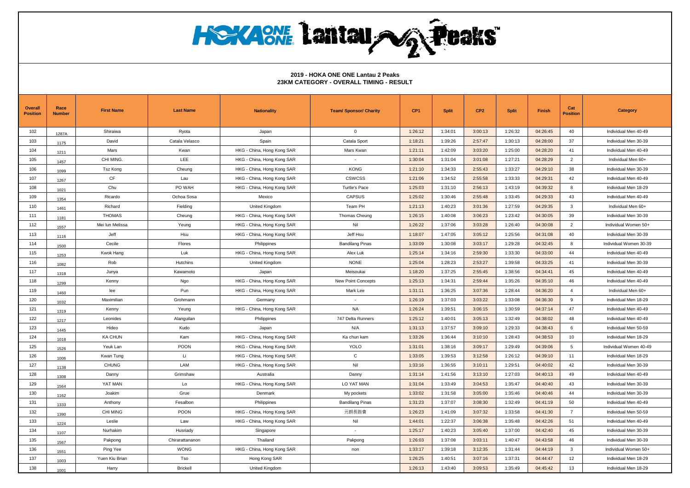| <b>Overall</b><br><b>Position</b> | Race<br><b>Number</b> | <b>First Name</b> | <b>Last Name</b> | <b>Nationality</b>         | <b>Team/ Sponsor/ Charity</b> | CP <sub>1</sub> | <b>Split</b> | CP <sub>2</sub> | <b>Split</b> | Finish   | Cat<br><b>Position</b> | <b>Category</b>        |
|-----------------------------------|-----------------------|-------------------|------------------|----------------------------|-------------------------------|-----------------|--------------|-----------------|--------------|----------|------------------------|------------------------|
| 102                               | 1287A                 | Shiraiwa          | Ryota            | Japan                      | $\mathbf{0}$                  | 1:26:12         | 1:34:01      | 3:00:13         | 1:26:32      | 04:26:45 | 40                     | Individual Men 40-49   |
| 103                               | 1175                  | David             | Catala Velasco   | Spain                      | Catala Sport                  | 1:18:21         | 1:39:26      | 2:57:47         | 1:30:13      | 04:28:00 | 37                     | Individual Men 30-39   |
| 104                               | 1211                  | Mars              | Kwan             | HKG - China, Hong Kong SAR | Mars Kwan                     | 1:21:11         | 1:42:09      | 3:03:20         | 1:25:00      | 04:28:20 | 41                     | Individual Men 40-49   |
| 105                               | 1457                  | CHI MING.         | LEE              | HKG - China, Hong Kong SAR | $\overline{\phantom{a}}$      | 1:30:04         | 1:31:04      | 3:01:08         | 1:27:21      | 04:28:29 | $\overline{2}$         | Individual Men 60+     |
| 106                               | 1099                  | <b>Tsz Kong</b>   | Cheung           | HKG - China, Hong Kong SAR | <b>KONG</b>                   | 1:21:10         | 1:34:33      | 2:55:43         | 1:33:27      | 04:29:10 | 38                     | Individual Men 30-39   |
| 107                               | 1267                  | CF                | Lau              | HKG - China, Hong Kong SAR | <b>CSWCSS</b>                 | 1:21:06         | 1:34:52      | 2:55:58         | 1:33:33      | 04:29:31 | 42                     | Individual Men 40-49   |
| 108                               | 1021                  | Chu               | PO WAH           | HKG - China, Hong Kong SAR | Turtle's Pace                 | 1:25:03         | 1:31:10      | 2:56:13         | 1:43:19      | 04:39:32 | 8                      | Individual Men 18-29   |
| 109                               | 1354                  | Ricardo           | Ochoa Sosa       | Mexico                     | <b>CAPSUS</b>                 | 1:25:02         | 1:30:46      | 2:55:48         | 1:33:45      | 04:29:33 | 43                     | Individual Men 40-49   |
| 110                               | 1461                  | Richard           | Fielding         | United Kingdom             | Team PH                       | 1:21:13         | 1:40:23      | 3:01:36         | 1:27:59      | 04:29:35 | $\mathbf{3}$           | Individual Men 60+     |
| 111                               | 1181                  | <b>THOMAS</b>     | Cheung           | HKG - China, Hong Kong SAR | Thomas Cheung                 | 1:26:15         | 1:40:08      | 3:06:23         | 1:23:42      | 04:30:05 | 39                     | Individual Men 30-39   |
| 112                               | 1557                  | Mei lun Melissa   | Yeung            | HKG - China, Hong Kong SAR | Nil                           | 1:26:22         | 1:37:06      | 3:03:28         | 1:26:40      | 04:30:08 | 2                      | Individual Women 50+   |
| 113                               | 1116                  | Jeff              | Hsu              | HKG - China, Hong Kong SAR | Jeff Hsu                      | 1:18:07         | 1:47:05      | 3:05:12         | 1:25:56      | 04:31:08 | 40                     | Individual Men 30-39   |
| 114                               | 1500                  | Cecile            | Flores           | Philippines                | <b>Bandilang Pinas</b>        | 1:33:09         | 1:30:08      | 3:03:17         | 1:29:28      | 04:32:45 | 8                      | Individual Women 30-39 |
| 115                               | 1253                  | Kwok Hang         | Luk              | HKG - China, Hong Kong SAR | Alex Luk                      | 1:25:14         | 1:34:16      | 2:59:30         | 1:33:30      | 04:33:00 | 44                     | Individual Men 40-49   |
| 116                               | 1082                  | Rob               | Hutchins         | United Kingdom             | <b>NONE</b>                   | 1:25:04         | 1:28:23      | 2:53:27         | 1:39:58      | 04:33:25 | 41                     | Individual Men 30-39   |
| 117                               | 1318                  | Junya             | Kawamoto         | Japan                      | Meisoukai                     | 1:18:20         | 1:37:25      | 2:55:45         | 1:38:56      | 04:34:41 | 45                     | Individual Men 40-49   |
| 118                               | 1299                  | Kenny             | Ngo              | HKG - China, Hong Kong SAR | <b>New Point Concepts</b>     | 1:25:13         | 1:34:31      | 2:59:44         | 1:35:26      | 04:35:10 | 46                     | Individual Men 40-49   |
| 119                               | 1460                  | lee               | Pun              | HKG - China, Hong Kong SAR | Mark Lee                      | 1:31:11         | 1:36:25      | 3:07:36         | 1:28:44      | 04:36:20 | $\overline{4}$         | Individual Men 60+     |
| 120                               | 1032                  | Maximilian        | Grohmann         | Germany                    | $\sim$                        | 1:26:19         | 1:37:03      | 3:03:22         | 1:33:08      | 04:36:30 | 9                      | Individual Men 18-29   |
| 121                               | 1319                  | Kenny             | Yeung            | HKG - China, Hong Kong SAR | <b>NA</b>                     | 1:26:24         | 1:39:51      | 3:06:15         | 1:30:59      | 04:37:14 | 47                     | Individual Men 40-49   |
| 122                               | 1217                  | Leonides          | Alanguilan       | Philippines                | 747 Delta Runners             | 1:25:12         | 1:40:01      | 3:05:13         | 1:32:49      | 04:38:02 | 48                     | Individual Men 40-49   |
| 123                               | 1445                  | Hideo             | Kudo             | Japan                      | N/A                           | 1:31:13         | 1:37:57      | 3:09:10         | 1:29:33      | 04:38:43 | 6                      | Individual Men 50-59   |
| 124                               | 1018                  | <b>KA CHUN</b>    | Kam              | HKG - China, Hong Kong SAR | Ka chun kam                   | 1:33:26         | 1:36:44      | 3:10:10         | 1:28:43      | 04:38:53 | 10                     | Individual Men 18-29   |
| 125                               | 1526                  | Yeuk Lan          | <b>POON</b>      | HKG - China, Hong Kong SAR | <b>YOLO</b>                   | 1:31:01         | 1:38:16      | 3:09:17         | 1:29:49      | 04:39:06 | 5                      | Individual Women 40-49 |
| 126                               | 1006                  | Kwan Tung         | Li               | HKG - China, Hong Kong SAR | $\mathsf{C}$                  | 1:33:05         | 1:39:53      | 3:12:58         | 1:26:12      | 04:39:10 | 11                     | Individual Men 18-29   |
| 127                               | 1138                  | <b>CHUNG</b>      | LAM              | HKG - China, Hong Kong SAR | Nil                           | 1:33:16         | 1:36:55      | 3:10:11         | 1:29:51      | 04:40:02 | 42                     | Individual Men 30-39   |
| 128                               | 1308                  | Danny             | Grimshaw         | Australia                  | Danny                         | 1:31:14         | 1:41:56      | 3:13:10         | 1:27:03      | 04:40:13 | 49                     | Individual Men 40-49   |
| 129                               | 1564                  | YAT MAN           | Lo               | HKG - China, Hong Kong SAR | LO YAT MAN                    | 1:31:04         | 1:33:49      | 3:04:53         | 1:35:47      | 04:40:40 | 43                     | Individual Men 30-39   |
| 130                               | 1162                  | Joakim            | Grue             | Denmark                    | My pockets                    | 1:33:02         | 1:31:58      | 3:05:00         | 1:35:46      | 04:40:46 | 44                     | Individual Men 30-39   |
| 131                               | 1333                  | Anthony           | Fesalbon         | Philippines                | <b>Bandilang Pinas</b>        | 1:31:23         | 1:37:07      | 3:08:30         | 1:32:49      | 04:41:19 | 50                     | Individual Men 40-49   |
| 132                               | 1390                  | CHI MING          | <b>POON</b>      | HKG - China, Hong Kong SAR | 元朗長跑會                         | 1:26:23         | 1:41:09      | 3:07:32         | 1:33:58      | 04:41:30 | $\overline{7}$         | Individual Men 50-59   |
| 133                               | 1224                  | Leslie            | Law              | HKG - China, Hong Kong SAR | Nil                           | 1:44:01         | 1:22:37      | 3:06:38         | 1:35:48      | 04:42:26 | 51                     | Individual Men 40-49   |
| 134                               | 1107                  | Nurhakim          | Husriady         | Singapore                  | $\overline{\phantom{a}}$      | 1:25:17         | 1:40:23      | 3:05:40         | 1:37:00      | 04:42:40 | 45                     | Individual Men 30-39   |
| 135                               | 1567                  | Pakpong           | Chirarattananon  | Thailand                   | Pakpong                       | 1:26:03         | 1:37:08      | 3:03:11         | 1:40:47      | 04:43:58 | 46                     | Individual Men 30-39   |
| 136                               | 1551                  | Ping Yee          | <b>WONG</b>      | HKG - China, Hong Kong SAR | non                           | 1:33:17         | 1:39:18      | 3:12:35         | 1:31:44      | 04:44:19 | 3                      | Individual Women 50+   |
| 137                               | 1003                  | Yuen Kiu Brian    | Tso              | Hong Kong SAR              |                               | 1:26:25         | 1:40:51      | 3:07:16         | 1:37:31      | 04:44:47 | 12                     | Individual Men 18-29   |
| 138                               | 1001                  | Harry             | <b>Brickell</b>  | United Kingdom             |                               | 1:26:13         | 1:43:40      | 3:09:53         | 1:35:49      | 04:45:42 | 13                     | Individual Men 18-29   |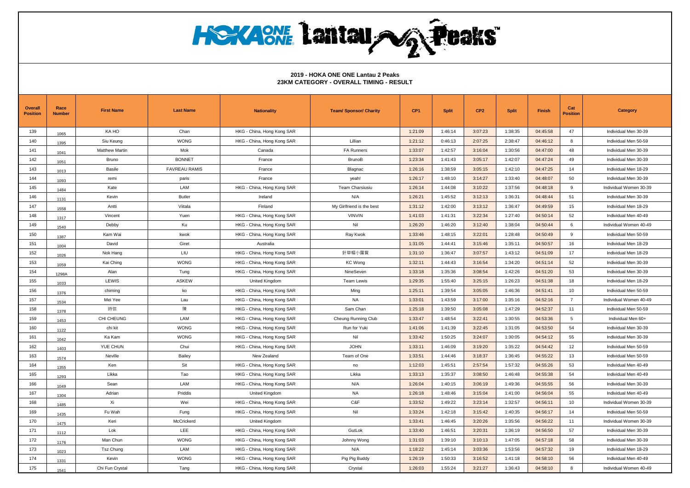| <b>Overall</b><br><b>Position</b> | Race<br><b>Number</b> | <b>First Name</b>     | <b>Last Name</b>     | <b>Nationality</b>         | <b>Team/ Sponsor/ Charity</b> | CP <sub>1</sub> | <b>Split</b> | CP <sub>2</sub> | <b>Split</b> | Finish   | Cat<br><b>Position</b> | <b>Category</b>        |
|-----------------------------------|-----------------------|-----------------------|----------------------|----------------------------|-------------------------------|-----------------|--------------|-----------------|--------------|----------|------------------------|------------------------|
| 139                               | 1065                  | KA HO                 | Chan                 | HKG - China, Hong Kong SAR |                               | 1:21:09         | 1:46:14      | 3:07:23         | 1:38:35      | 04:45:58 | 47                     | Individual Men 30-39   |
| 140                               | 1395                  | Siu Keung             | <b>WONG</b>          | HKG - China, Hong Kong SAR | Lillian                       | 1:21:12         | 0:46:13      | 2:07:25         | 2:38:47      | 04:46:12 | 8                      | Individual Men 50-59   |
| 141                               | 1041                  | <b>Matthew Martin</b> | Mok                  | Canada                     | <b>FA Runners</b>             | 1:33:07         | 1:42:57      | 3:16:04         | 1:30:56      | 04:47:00 | 48                     | Individual Men 30-39   |
| 142                               | 1051                  | Bruno                 | <b>BONNET</b>        | France                     | <b>BrunoB</b>                 | 1:23:34         | 1:41:43      | 3:05:17         | 1:42:07      | 04:47:24 | 49                     | Individual Men 30-39   |
| 143                               | 1013                  | <b>Basile</b>         | <b>FAVREAU RAMIS</b> | France                     | Blagnac                       | 1:26:16         | 1:38:59      | 3:05:15         | 1:42:10      | 04:47:25 | 14                     | Individual Men 18-29   |
| 144                               | 1093                  | remi                  | paris                | France                     | yeah!                         | 1:26:17         | 1:48:10      | 3:14:27         | 1:33:40      | 04:48:07 | 50                     | Individual Men 30-39   |
| 145                               | 1484                  | Kate                  | LAM                  | HKG - China, Hong Kong SAR | Team Charsiusiu               | 1:26:14         | 1:44:08      | 3:10:22         | 1:37:56      | 04:48:18 | 9                      | Individual Women 30-39 |
| 146                               | 1131                  | Kevin                 | <b>Butler</b>        | Ireland                    | N/A                           | 1:26:21         | 1:45:52      | 3:12:13         | 1:36:31      | 04:48:44 | 51                     | Individual Men 30-39   |
| 147                               | 1558                  | Antti                 | Viitala              | Finland                    | My Girlfriend is the best     | 1:31:12         | 1:42:00      | 3:13:12         | 1:36:47      | 04:49:59 | 15                     | Individual Men 18-29   |
| 148                               | 1317                  | Vincent               | Yuen                 | HKG - China, Hong Kong SAR | <b>VINVIN</b>                 | 1:41:03         | 1:41:31      | 3:22:34         | 1:27:40      | 04:50:14 | 52                     | Individual Men 40-49   |
| 149                               | 1540                  | Debby                 | Ku                   | HKG - China, Hong Kong SAR | Nil                           | 1:26:20         | 1:46:20      | 3:12:40         | 1:38:04      | 04:50:44 | 6                      | Individual Women 40-49 |
| 150                               | 1387                  | Kam Wai               | kwok                 | HKG - China, Hong Kong SAR | Ray Kwok                      | 1:33:46         | 1:48:15      | 3:22:01         | 1:28:48      | 04:50:49 | 9                      | Individual Men 50-59   |
| 151                               | 1004                  | David                 | Giret                | Australia                  |                               | 1:31:05         | 1:44:41      | 3:15:46         | 1:35:11      | 04:50:57 | 16                     | Individual Men 18-29   |
| 152                               | 1026                  | Nok Hang              | LIU                  | HKG - China, Hong Kong SAR | 針草帽小露寶                        | 1:31:10         | 1:36:47      | 3:07:57         | 1:43:12      | 04:51:09 | 17                     | Individual Men 18-29   |
| 153                               | 1059                  | Kai Ching             | <b>WONG</b>          | HKG - China, Hong Kong SAR | <b>KC Wong</b>                | 1:32:11         | 1:44:43      | 3:16:54         | 1:34:20      | 04:51:14 | 52                     | Individual Men 30-39   |
| 154                               | 1298A                 | Alan                  | Tung                 | HKG - China, Hong Kong SAR | NineSeven                     | 1:33:18         | 1:35:36      | 3:08:54         | 1:42:26      | 04:51:20 | 53                     | Individual Men 30-39   |
| 155                               | 1033                  | LEWIS                 | <b>ASKEW</b>         | United Kingdom             | Team Lewis                    | 1:29:35         | 1:55:40      | 3:25:15         | 1:26:23      | 04:51:38 | 18                     | Individual Men 18-29   |
| 156                               | 1376                  | chiming               | ko                   | HKG - China, Hong Kong SAR | Ming                          | 1:25:11         | 1:39:54      | 3:05:05         | 1:46:36      | 04:51:41 | 10                     | Individual Men 50-59   |
| 157                               | 1534                  | Mei Yee               | Lau                  | HKG - China, Hong Kong SAR | <b>NA</b>                     | 1:33:01         | 1:43:59      | 3:17:00         | 1:35:16      | 04:52:16 | $\overline{7}$         | Individual Women 40-49 |
| 158                               | 1378                  | 時信                    | 陳                    | HKG - China, Hong Kong SAR | Sam Chan                      | 1:25:18         | 1:39:50      | 3:05:08         | 1:47:29      | 04:52:37 | 11                     | Individual Men 50-59   |
| 159                               | 1453                  | CHI CHEUNG            | LAM                  | HKG - China, Hong Kong SAR | Cheung Running Club           | 1:33:47         | 1:48:54      | 3:22:41         | 1:30:55      | 04:53:36 | 5                      | Individual Men 60+     |
| 160                               | 1122                  | chi kit               | <b>WONG</b>          | HKG - China, Hong Kong SAR | Run for Yuki                  | 1:41:06         | 1:41:39      | 3:22:45         | 1:31:05      | 04:53:50 | 54                     | Individual Men 30-39   |
| 161                               | 1042                  | Ka Kam                | <b>WONG</b>          | HKG - China, Hong Kong SAR | Nil                           | 1:33:42         | 1:50:25      | 3:24:07         | 1:30:05      | 04:54:12 | 55                     | Individual Men 30-39   |
| 162                               | 1403                  | YUE CHUN              | Chui                 | HKG - China, Hong Kong SAR | <b>JOHN</b>                   | 1:33:11         | 1:46:09      | 3:19:20         | 1:35:22      | 04:54:42 | 12                     | Individual Men 50-59   |
| 163                               | 1574                  | Neville               | Bailey               | New Zealand                | Team of One                   | 1:33:51         | 1:44:46      | 3:18:37         | 1:36:45      | 04:55:22 | 13                     | Individual Men 50-59   |
| 164                               | 1355                  | Ken                   | Sit                  | HKG - China, Hong Kong SAR | no                            | 1:12:03         | 1:45:51      | 2:57:54         | 1:57:32      | 04:55:26 | 53                     | Individual Men 40-49   |
| 165                               | 1293                  | Likka                 | Tao                  | HKG - China, Hong Kong SAR | Likka                         | 1:33:13         | 1:35:37      | 3:08:50         | 1:46:48      | 04:55:38 | 54                     | Individual Men 40-49   |
| 166                               | 1049                  | Sean                  | LAM                  | HKG - China, Hong Kong SAR | N/A                           | 1:26:04         | 1:40:15      | 3:06:19         | 1:49:36      | 04:55:55 | 56                     | Individual Men 30-39   |
| 167                               | 1304                  | Adrian                | Priddis              | United Kingdom             | <b>NA</b>                     | 1:26:18         | 1:48:46      | 3:15:04         | 1:41:00      | 04:56:04 | 55                     | Individual Men 40-49   |
| 168                               | 1485                  | Xi                    | Wei                  | HKG - China, Hong Kong SAR | C&F                           | 1:33:52         | 1:49:22      | 3:23:14         | 1:32:57      | 04:56:11 | 10                     | Individual Women 30-39 |
| 169                               | 1435                  | Fu Wah                | Fung                 | HKG - China, Hong Kong SAR | Nil                           | 1:33:24         | 1:42:18      | 3:15:42         | 1:40:35      | 04:56:17 | 14                     | Individual Men 50-59   |
| 170                               | 1475                  | Keri                  | McCrickerd           | United Kingdom             |                               | 1:33:41         | 1:46:45      | 3:20:26         | 1:35:56      | 04:56:22 | 11                     | Individual Women 30-39 |
| 171                               | 1112                  | Lok                   | <b>LEE</b>           | HKG - China, Hong Kong SAR | GutLok                        | 1:33:40         | 1:46:51      | 3:20:31         | 1:36:19      | 04:56:50 | 57                     | Individual Men 30-39   |
| 172                               | 1176                  | Man Chun              | <b>WONG</b>          | HKG - China, Hong Kong SAR | Johnny Wong                   | 1:31:03         | 1:39:10      | 3:10:13         | 1:47:05      | 04:57:18 | 58                     | Individual Men 30-39   |
| 173                               | 1023                  | <b>Tsz Chung</b>      | LAM                  | HKG - China, Hong Kong SAR | N/A                           | 1:18:22         | 1:45:14      | 3:03:36         | 1:53:56      | 04:57:32 | 19                     | Individual Men 18-29   |
| 174                               | 1331                  | Kevin                 | <b>WONG</b>          | HKG - China, Hong Kong SAR | Pig Pig Buddy                 | 1:26:19         | 1:50:33      | 3:16:52         | 1:41:18      | 04:58:10 | 56                     | Individual Men 40-49   |
| 175                               | 1541                  | Chi Fun Crystal       | Tang                 | HKG - China, Hong Kong SAR | Crystal                       | 1:26:03         | 1:55:24      | 3:21:27         | 1:36:43      | 04:58:10 | 8                      | Individual Women 40-49 |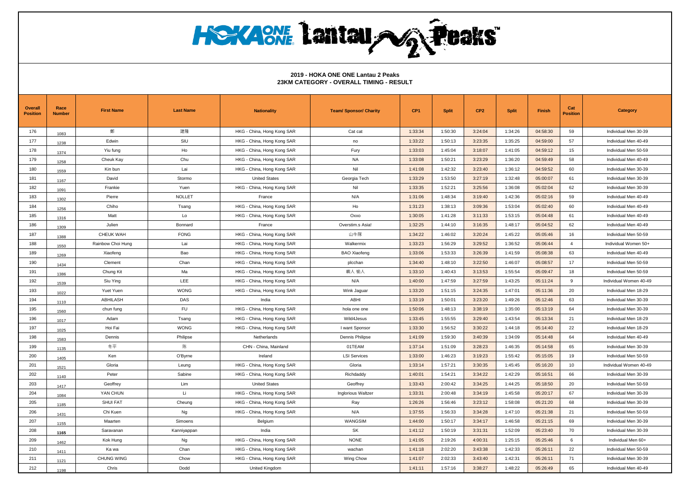**HOYAONE Lantau NG Peaks** 

| <b>Overall</b><br><b>Position</b> | Race<br><b>Number</b> | <b>First Name</b> | <b>Last Name</b> | <b>Nationality</b>         | <b>Team/ Sponsor/ Charity</b> | CP <sub>1</sub> | <b>Split</b> | CP <sub>2</sub> | <b>Split</b> | Finish   | Cat<br><b>Position</b> | <b>Category</b>        |
|-----------------------------------|-----------------------|-------------------|------------------|----------------------------|-------------------------------|-----------------|--------------|-----------------|--------------|----------|------------------------|------------------------|
| 176                               | 1083                  | 鄭                 | 建隆               | HKG - China, Hong Kong SAR | Cat cat                       | 1:33:34         | 1:50:30      | 3:24:04         | 1:34:26      | 04:58:30 | 59                     | Individual Men 30-39   |
| 177                               | 1238                  | Edwin             | SIU              | HKG - China, Hong Kong SAR | no                            | 1:33:22         | 1:50:13      | 3:23:35         | 1:35:25      | 04:59:00 | 57                     | Individual Men 40-49   |
| 178                               | 1374                  | Yiu fung          | Ho               | HKG - China, Hong Kong SAR | Fury                          | 1:33:03         | 1:45:04      | 3:18:07         | 1:41:05      | 04:59:12 | 15                     | Individual Men 50-59   |
| 179                               | 1258                  | Cheuk Kay         | Chu              | HKG - China, Hong Kong SAR | NA                            | 1:33:08         | 1:50:21      | 3:23:29         | 1:36:20      | 04:59:49 | 58                     | Individual Men 40-49   |
| 180                               | 1559                  | Kin bun           | Lai              | HKG - China, Hong Kong SAR | Nil                           | 1:41:08         | 1:42:32      | 3:23:40         | 1:36:12      | 04:59:52 | 60                     | Individual Men 30-39   |
| 181                               | 1167                  | David             | Stormo           | <b>United States</b>       | Georgia Tech                  | 1:33:29         | 1:53:50      | 3:27:19         | 1:32:48      | 05:00:07 | 61                     | Individual Men 30-39   |
| 182                               | 1091                  | Frankie           | Yuen             | HKG - China, Hong Kong SAR | Nil                           | 1:33:35         | 1:52:21      | 3:25:56         | 1:36:08      | 05:02:04 | 62                     | Individual Men 30-39   |
| 183                               | 1302                  | Pierre            | <b>NOLLET</b>    | France                     | N/A                           | 1:31:06         | 1:48:34      | 3:19:40         | 1:42:36      | 05:02:16 | 59                     | Individual Men 40-49   |
| 184                               | 1256                  | Chiho             | Tsang            | HKG - China, Hong Kong SAR | Ho                            | 1:31:23         | 1:38:13      | 3:09:36         | 1:53:04      | 05:02:40 | 60                     | Individual Men 40-49   |
| 185                               | 1316                  | Matt              | Lo               | HKG - China, Hong Kong SAR | Oxxo                          | 1:30:05         | 1:41:28      | 3:11:33         | 1:53:15      | 05:04:48 | 61                     | Individual Men 40-49   |
| 186                               | 1309                  | Julien            | Bonnard          | France                     | Overstim.s Asia!              | 1:32:25         | 1:44:10      | 3:16:35         | 1:48:17      | 05:04:52 | 62                     | Individual Men 40-49   |
| 187                               | 1388                  | CHEUK WAH         | <b>FONG</b>      | HKG - China, Hong Kong SAR | 山牛隊                           | 1:34:22         | 1:46:02      | 3:20:24         | 1:45:22      | 05:05:46 | 16                     | Individual Men 50-59   |
| 188                               | 1550                  | Rainbow Choi Hung | Lai              | HKG - China, Hong Kong SAR | Walkermix                     | 1:33:23         | 1:56:29      | 3:29:52         | 1:36:52      | 05:06:44 | $\overline{4}$         | Individual Women 50+   |
| 189                               | 1269                  | Xiaofeng          | Bao              | HKG - China, Hong Kong SAR | <b>BAO Xiaofeng</b>           | 1:33:06         | 1:53:33      | 3:26:39         | 1:41:59      | 05:08:38 | 63                     | Individual Men 40-49   |
| 190                               | 1434                  | Clement           | Chan             | HKG - China, Hong Kong SAR | plcchan                       | 1:34:40         | 1:48:10      | 3:22:50         | 1:46:07      | 05:08:57 | 17                     | Individual Men 50-59   |
| 191                               | 1386                  | Chung Kit         | Ma               | HKG - China, Hong Kong SAR | 嶼人 愉人                         | 1:33:10         | 1:40:43      | 3:13:53         | 1:55:54      | 05:09:47 | 18                     | Individual Men 50-59   |
| 192                               | 1539                  | Siu Ying          | LEE              | HKG - China, Hong Kong SAR | N/A                           | 1:40:00         | 1:47:59      | 3:27:59         | 1:43:25      | 05:11:24 | 9                      | Individual Women 40-49 |
| 193                               | 1022                  | Yuet Yuen         | <b>WONG</b>      | HKG - China, Hong Kong SAR | Wink Jaguar                   | 1:33:20         | 1:51:15      | 3:24:35         | 1:47:01      | 05:11:36 | 20                     | Individual Men 18-29   |
| 194                               | 1110                  | ABHILASH          | DAS              | India                      | ABHI                          | 1:33:19         | 1:50:01      | 3:23:20         | 1:49:26      | 05:12:46 | 63                     | Individual Men 30-39   |
| 195                               | 1560                  | chun fung         | <b>FU</b>        | HKG - China, Hong Kong SAR | hola one one                  | 1:50:06         | 1:48:13      | 3:38:19         | 1:35:00      | 05:13:19 | 64                     | Individual Men 30-39   |
| 196                               | 1017                  | Adam              | Tsang            | HKG - China, Hong Kong SAR | Wild4Jesus                    | 1:33:45         | 1:55:55      | 3:29:40         | 1:43:54      | 05:13:34 | 21                     | Individual Men 18-29   |
| 197                               | 1025                  | Hoi Fai           | <b>WONG</b>      | HKG - China, Hong Kong SAR | I want Sponsor                | 1:33:30         | 1:56:52      | 3:30:22         | 1:44:18      | 05:14:40 | 22                     | Individual Men 18-29   |
| 198                               | 1583                  | Dennis            | Philipse         | Netherlands                | Dennis Philipse               | 1:41:09         | 1:59:30      | 3:40:39         | 1:34:09      | 05:14:48 | 64                     | Individual Men 40-49   |
| 199                               | 1135                  | 冬平                | 陈                | CHN - China, Mainland      | 01TEAM                        | 1:37:14         | 1:51:09      | 3:28:23         | 1:46:35      | 05:14:58 | 65                     | Individual Men 30-39   |
| 200                               | 1405                  | Ken               | O'Byrne          | Ireland                    | <b>LSI Services</b>           | 1:33:00         | 1:46:23      | 3:19:23         | 1:55:42      | 05:15:05 | 19                     | Individual Men 50-59   |
| 201                               | 1521                  | Gloria            | Leung            | HKG - China, Hong Kong SAR | Gloria                        | 1:33:14         | 1:57:21      | 3:30:35         | 1:45:45      | 05:16:20 | 10                     | Individual Women 40-49 |
| 202                               | 1140                  | Peter             | Sabine           | HKG - China, Hong Kong SAR | Richdaddy                     | 1:40:01         | 1:54:21      | 3:34:22         | 1:42:29      | 05:16:51 | 66                     | Individual Men 30-39   |
| 203                               | 1417                  | Geoffrey          | Lim              | <b>United States</b>       | Geoffrey                      | 1:33:43         | 2:00:42      | 3:34:25         | 1:44:25      | 05:18:50 | 20                     | Individual Men 50-59   |
| 204                               | 1084                  | YAN CHUN          | Li               | HKG - China, Hong Kong SAR | Inglorious Waltzer            | 1:33:31         | 2:00:48      | 3:34:19         | 1:45:58      | 05:20:17 | 67                     | Individual Men 30-39   |
| 205                               | 1185                  | <b>SHUI FAT</b>   | Cheung           | HKG - China, Hong Kong SAR | Ray                           | 1:26:26         | 1:56:46      | 3:23:12         | 1:58:08      | 05:21:20 | 68                     | Individual Men 30-39   |
| 206                               | 1431                  | Chi Kuen          | Ng               | HKG - China, Hong Kong SAR | N/A                           | 1:37:55         | 1:56:33      | 3:34:28         | 1:47:10      | 05:21:38 | 21                     | Individual Men 50-59   |
| 207                               | 1155                  | Maarten           | Simoens          | Belgium                    | WANGSIM                       | 1:44:00         | 1:50:17      | 3:34:17         | 1:46:58      | 05:21:15 | 69                     | Individual Men 30-39   |
| 208                               | 1165                  | Saravanan         | Kanniyappan      | India                      | SK                            | 1:41:12         | 1:50:19      | 3:31:31         | 1:52:09      | 05:23:40 | 70                     | Individual Men 30-39   |
| 209                               | 1462                  | Kok Hung          | Ng               | HKG - China, Hong Kong SAR | <b>NONE</b>                   | 1:41:05         | 2:19:26      | 4:00:31         | 1:25:15      | 05:25:46 | 6                      | Individual Men 60+     |
| 210                               | 1411                  | Ka wa             | Chan             | HKG - China, Hong Kong SAR | wachan                        | 1:41:18         | 2:02:20      | 3:43:38         | 1:42:33      | 05:26:11 | 22                     | Individual Men 50-59   |
| 211                               | 1121                  | CHUNG WING        | Chow             | HKG - China, Hong Kong SAR | Wing Chow                     | 1:41:07         | 2:02:33      | 3:43:40         | 1:42:31      | 05:26:11 | 71                     | Individual Men 30-39   |
| 212                               | 1198                  | Chris             | Dodd             | United Kingdom             |                               | 1:41:11         | 1:57:16      | 3:38:27         | 1:48:22      | 05:26:49 | 65                     | Individual Men 40-49   |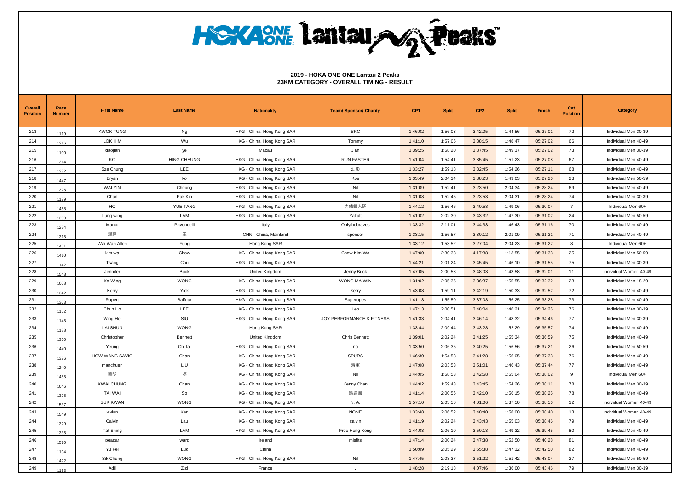| <b>Overall</b><br><b>Position</b> | Race<br><b>Number</b> | <b>First Name</b> | <b>Last Name</b>   | <b>Nationality</b>         | <b>Team/ Sponsor/ Charity</b> | CP <sub>1</sub> | <b>Split</b> | CP <sub>2</sub> | <b>Split</b> | Finish   | Cat<br><b>Position</b> | Category               |
|-----------------------------------|-----------------------|-------------------|--------------------|----------------------------|-------------------------------|-----------------|--------------|-----------------|--------------|----------|------------------------|------------------------|
| 213                               | 1119                  | <b>KWOK TUNG</b>  | Ng                 | HKG - China, Hong Kong SAR | <b>SRC</b>                    | 1:46:02         | 1:56:03      | 3:42:05         | 1:44:56      | 05:27:01 | 72                     | Individual Men 30-39   |
| 214                               | 1216                  | LOK HIM           | Wu                 | HKG - China, Hong Kong SAR | Tommy                         | 1:41:10         | 1:57:05      | 3:38:15         | 1:48:47      | 05:27:02 | 66                     | Individual Men 40-49   |
| 215                               | 1100                  | xiaojian          | ye                 | Macau                      | Jian                          | 1:39:25         | 1:58:20      | 3:37:45         | 1:49:17      | 05:27:02 | 73                     | Individual Men 30-39   |
| 216                               | 1214                  | KO                | <b>HING CHEUNG</b> | HKG - China, Hong Kong SAR | <b>RUN FASTER</b>             | 1:41:04         | 1:54:41      | 3:35:45         | 1:51:23      | 05:27:08 | 67                     | Individual Men 40-49   |
| 217                               | 1332                  | Sze Chung         | <b>LEE</b>         | HKG - China, Hong Kong SAR | 幻影                            | 1:33:27         | 1:59:18      | 3:32:45         | 1:54:26      | 05:27:11 | 68                     | Individual Men 40-49   |
| 218                               | 1447                  | Bryan             | ko                 | HKG - China, Hong Kong SAR | Kos                           | 1:33:49         | 2:04:34      | 3:38:23         | 1:49:03      | 05:27:26 | 23                     | Individual Men 50-59   |
| 219                               | 1325                  | <b>WAI YIN</b>    | Cheung             | HKG - China, Hong Kong SAR | Nil                           | 1:31:09         | 1:52:41      | 3:23:50         | 2:04:34      | 05:28:24 | 69                     | Individual Men 40-49   |
| 220                               | 1129                  | Chan              | Pak Kin            | HKG - China, Hong Kong SAR | Nil                           | 1:31:08         | 1:52:45      | 3:23:53         | 2:04:31      | 05:28:24 | 74                     | Individual Men 30-39   |
| 221                               | 1458                  | HO                | <b>YUE TANG</b>    | HKG - China, Hong Kong SAR | 力練鐵人隊                         | 1:44:12         | 1:56:46      | 3:40:58         | 1:49:06      | 05:30:04 | $\overline{7}$         | Individual Men 60+     |
| 222                               | 1399                  | Lung wing         | LAM                | HKG - China, Hong Kong SAR | Yakult                        | 1:41:02         | 2:02:30      | 3:43:32         | 1:47:30      | 05:31:02 | 24                     | Individual Men 50-59   |
| 223                               | 1234                  | Marco             | Pavoncelli         | Italy                      | Onlythebraves                 | 1:33:32         | 2:11:01      | 3:44:33         | 1:46:43      | 05:31:16 | 70                     | Individual Men 40-49   |
| 224                               | 1315                  | 耀辉                | 王                  | CHN - China, Mainland      | sponser                       | 1:33:15         | 1:56:57      | 3:30:12         | 2:01:09      | 05:31:21 | 71                     | Individual Men 40-49   |
| 225                               | 1451                  | Wai Wah Allen     | Fung               | Hong Kong SAR              |                               | 1:33:12         | 1:53:52      | 3:27:04         | 2:04:23      | 05:31:27 | 8                      | Individual Men 60+     |
| 226                               | 1410                  | kim wa            | Chow               | HKG - China, Hong Kong SAR | Chow Kim Wa                   | 1:47:00         | 2:30:38      | 4:17:38         | 1:13:55      | 05:31:33 | 25                     | Individual Men 50-59   |
| 227                               | 1142                  | Tsang             | Chu                | HKG - China, Hong Kong SAR | $\overline{\phantom{a}}$      | 1:44:21         | 2:01:24      | 3:45:45         | 1:46:10      | 05:31:55 | 75                     | Individual Men 30-39   |
| 228                               | 1548                  | Jennifer          | Buck               | United Kingdom             | Jenny Buck                    | 1:47:05         | 2:00:58      | 3:48:03         | 1:43:58      | 05:32:01 | 11                     | Individual Women 40-49 |
| 229                               | 1008                  | Ka Wing           | <b>WONG</b>        | HKG - China, Hong Kong SAR | WONG MA WIN                   | 1:31:02         | 2:05:35      | 3:36:37         | 1:55:55      | 05:32:32 | 23                     | Individual Men 18-29   |
| 230                               | 1342                  | Kerry             | Yick               | HKG - China, Hong Kong SAR | Kerry                         | 1:43:08         | 1:59:11      | 3:42:19         | 1:50:33      | 05:32:52 | 72                     | Individual Men 40-49   |
| 231                               | 1303                  | Rupert            | Balfour            | HKG - China, Hong Kong SAR | Superupes                     | 1:41:13         | 1:55:50      | 3:37:03         | 1:56:25      | 05:33:28 | 73                     | Individual Men 40-49   |
| 232                               | 1152                  | Chun Ho           | <b>LEE</b>         | HKG - China, Hong Kong SAR | Leo                           | 1:47:13         | 2:00:51      | 3:48:04         | 1:46:21      | 05:34:25 | 76                     | Individual Men 30-39   |
| 233                               | 1145                  | Wing Hei          | SIU                | HKG - China, Hong Kong SAR | JOY PERFORMANCE & FITNESS     | 1:41:33         | 2:04:41      | 3:46:14         | 1:48:32      | 05:34:46 | 77                     | Individual Men 30-39   |
| 234                               | 1188                  | <b>LAI SHUN</b>   | <b>WONG</b>        | Hong Kong SAR              |                               | 1:33:44         | 2:09:44      | 3:43:28         | 1:52:29      | 05:35:57 | 74                     | Individual Men 40-49   |
| 235                               | 1360                  | Christopher       | Bennett            | United Kingdom             | <b>Chris Bennett</b>          | 1:39:01         | 2:02:24      | 3:41:25         | 1:55:34      | 05:36:59 | 75                     | Individual Men 40-49   |
| 236                               | 1440                  | Yeung             | Chi fai            | HKG - China, Hong Kong SAR | no                            | 1:33:50         | 2:06:35      | 3:40:25         | 1:56:56      | 05:37:21 | 26                     | Individual Men 50-59   |
| 237                               | 1326                  | HOW WANG SAVIO    | Chan               | HKG - China, Hong Kong SAR | <b>SPURS</b>                  | 1:46:30         | 1:54:58      | 3:41:28         | 1:56:05      | 05:37:33 | 76                     | Individual Men 40-49   |
| 238                               | 1240                  | manchuen          | LIU                | HKG - China, Hong Kong SAR | 青軍                            | 1:47:08         | 2:03:53      | 3:51:01         | 1:46:43      | 05:37:44 | 77                     | Individual Men 40-49   |
| 239                               | 1455                  | 藝明                | 馮                  | HKG - China, Hong Kong SAR | Nil                           | 1:44:05         | 1:58:53      | 3:42:58         | 1:55:04      | 05:38:02 | 9                      | Individual Men 60+     |
| 240                               | 1046                  | <b>KWAI CHUNG</b> | Chan               | HKG - China, Hong Kong SAR | Kenny Chan                    | 1:44:02         | 1:59:43      | 3:43:45         | 1:54:26      | 05:38:11 | 78                     | Individual Men 30-39   |
| 241                               | 1328                  | <b>TAI WAI</b>    | So                 | HKG - China, Hong Kong SAR | 龜速團                           | 1:41:14         | 2:00:56      | 3:42:10         | 1:56:15      | 05:38:25 | 78                     | Individual Men 40-49   |
| 242                               | 1537                  | <b>SUK KWAN</b>   | <b>WONG</b>        | HKG - China, Hong Kong SAR | N. A.                         | 1:57:10         | 2:03:56      | 4:01:06         | 1:37:50      | 05:38:56 | 12                     | Individual Women 40-49 |
| 243                               | 1549                  | vivian            | Kan                | HKG - China, Hong Kong SAR | <b>NONE</b>                   | 1:33:48         | 2:06:52      | 3:40:40         | 1:58:00      | 05:38:40 | 13                     | Individual Women 40-49 |
| 244                               | 1329                  | Calvin            | Lau                | HKG - China, Hong Kong SAR | calvin                        | 1:41:19         | 2:02:24      | 3:43:43         | 1:55:03      | 05:38:46 | 79                     | Individual Men 40-49   |
| 245                               | 1335                  | <b>Tat Shing</b>  | LAM                | HKG - China, Hong Kong SAR | Free Hong Kong                | 1:44:03         | 2:06:10      | 3:50:13         | 1:49:32      | 05:39:45 | 80                     | Individual Men 40-49   |
| 246                               | 1570                  | peadar            | ward               | Ireland                    | misfits                       | 1:47:14         | 2:00:24      | 3:47:38         | 1:52:50      | 05:40:28 | 81                     | Individual Men 40-49   |
| 247                               | 1194                  | Yu Fei            | Luk                | China                      |                               | 1:50:09         | 2:05:29      | 3:55:38         | 1:47:12      | 05:42:50 | 82                     | Individual Men 40-49   |
| 248                               | 1422                  | Sik Chung         | <b>WONG</b>        | HKG - China, Hong Kong SAR | Nil                           | 1:47:45         | 2:03:37      | 3:51:22         | 1:51:42      | 05:43:04 | 27                     | Individual Men 50-59   |
| 249                               | 1163                  | Adil              | Zizi               | France                     |                               | 1:48:28         | 2:19:18      | 4:07:46         | 1:36:00      | 05:43:46 | 79                     | Individual Men 30-39   |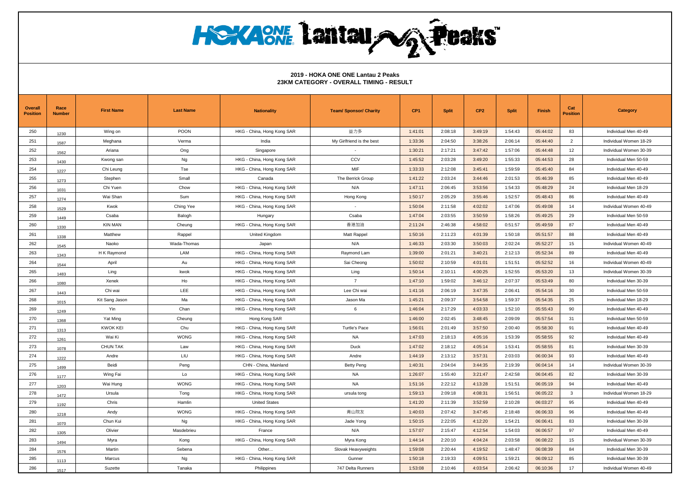| <b>Overall</b><br><b>Position</b> | Race<br><b>Number</b> | <b>First Name</b> | <b>Last Name</b> | <b>Nationality</b>         | <b>Team/ Sponsor/ Charity</b> | CP <sub>1</sub> | <b>Split</b> | CP <sub>2</sub> | <b>Split</b> | Finish   | Cat<br><b>Position</b> | <b>Category</b>        |
|-----------------------------------|-----------------------|-------------------|------------------|----------------------------|-------------------------------|-----------------|--------------|-----------------|--------------|----------|------------------------|------------------------|
| 250                               | 1230                  | Wing on           | <b>POON</b>      | HKG - China, Hong Kong SAR | 益力多                           | 1:41:01         | 2:08:18      | 3:49:19         | 1:54:43      | 05:44:02 | 83                     | Individual Men 40-49   |
| 251                               | 1587                  | Meghana           | Verma            | India                      | My Girlfriend is the best     | 1:33:36         | 2:04:50      | 3:38:26         | 2:06:14      | 05:44:40 | $\overline{2}$         | Individual Women 18-29 |
| 252                               | 1562                  | Ariana            | Ong              | Singapore                  |                               | 1:30:21         | 2:17:21      | 3:47:42         | 1:57:06      | 05:44:48 | 12                     | Individual Women 30-39 |
| 253                               | 1430                  | Kwong san         | Ng               | HKG - China, Hong Kong SAR | CCV                           | 1:45:52         | 2:03:28      | 3:49:20         | 1:55:33      | 05:44:53 | 28                     | Individual Men 50-59   |
| 254                               | 1227                  | Chi Leung         | Tse              | HKG - China, Hong Kong SAR | MIF                           | 1:33:33         | 2:12:08      | 3:45:41         | 1:59:59      | 05:45:40 | 84                     | Individual Men 40-49   |
| 255                               | 1273                  | Stephen           | Small            | Canada                     | The Berrick Group             | 1:41:22         | 2:03:24      | 3:44:46         | 2:01:53      | 05:46:39 | 85                     | Individual Men 40-49   |
| 256                               | 1031                  | Chi Yuen          | Chow             | HKG - China, Hong Kong SAR | N/A                           | 1:47:11         | 2:06:45      | 3:53:56         | 1:54:33      | 05:48:29 | 24                     | Individual Men 18-29   |
| 257                               | 1274                  | Wai Shan          | Sum              | HKG - China, Hong Kong SAR | Hong Kong                     | 1:50:17         | 2:05:29      | 3:55:46         | 1:52:57      | 05:48:43 | 86                     | Individual Men 40-49   |
| 258                               | 1529                  | Kwok              | Ching Yee        | HKG - China, Hong Kong SAR | $\sim$                        | 1:50:04         | 2:11:58      | 4:02:02         | 1:47:06      | 05:49:08 | 14                     | Individual Women 40-49 |
| 259                               | 1449                  | Csaba             | Balogh           | Hungary                    | Csaba                         | 1:47:04         | 2:03:55      | 3:50:59         | 1:58:26      | 05:49:25 | 29                     | Individual Men 50-59   |
| 260                               | 1330                  | <b>KIN MAN</b>    | Cheung           | HKG - China, Hong Kong SAR | 香港加油                          | 2:11:24         | 2:46:38      | 4:58:02         | 0:51:57      | 05:49:59 | 87                     | Individual Men 40-49   |
| 261                               | 1338                  | Matthew           | Rappel           | <b>United Kingdom</b>      | Matt Rappel                   | 1:50:16         | 2:11:23      | 4:01:39         | 1:50:18      | 05:51:57 | 88                     | Individual Men 40-49   |
| 262                               | 1545                  | Naoko             | Wada-Thomas      | Japan                      | N/A                           | 1:46:33         | 2:03:30      | 3:50:03         | 2:02:24      | 05:52:27 | 15                     | Individual Women 40-49 |
| 263                               | 1343                  | H K Raymond       | LAM              | HKG - China, Hong Kong SAR | Raymond Lam                   | 1:39:00         | 2:01:21      | 3:40:21         | 2:12:13      | 05:52:34 | 89                     | Individual Men 40-49   |
| 264                               | 1544                  | April             | Au               | HKG - China, Hong Kong SAR | Sai Cheong                    | 1:50:02         | 2:10:59      | 4:01:01         | 1:51:51      | 05:52:52 | 16                     | Individual Women 40-49 |
| 265                               | 1483                  | Ling              | kwok             | HKG - China, Hong Kong SAR | Ling                          | 1:50:14         | 2:10:11      | 4:00:25         | 1:52:55      | 05:53:20 | 13                     | Individual Women 30-39 |
| 266                               | 1080                  | Xenek             | Ho               | HKG - China, Hong Kong SAR | $\overline{7}$                | 1:47:10         | 1:59:02      | 3:46:12         | 2:07:37      | 05:53:49 | 80                     | Individual Men 30-39   |
| 267                               | 1443                  | Chi wai           | LEE              | HKG - China, Hong Kong SAR | Lee Chi wai                   | 1:41:16         | 2:06:19      | 3:47:35         | 2:06:41      | 05:54:16 | 30                     | Individual Men 50-59   |
| 268                               | 1015                  | Kit Sang Jason    | Ma               | HKG - China, Hong Kong SAR | Jason Ma                      | 1:45:21         | 2:09:37      | 3:54:58         | 1:59:37      | 05:54:35 | 25                     | Individual Men 18-29   |
| 269                               | 1249                  | Yin               | Chan             | HKG - China, Hong Kong SAR | 6                             | 1:46:04         | 2:17:29      | 4:03:33         | 1:52:10      | 05:55:43 | 90                     | Individual Men 40-49   |
| 270                               | 1368                  | Yat Ming          | Cheung           | Hong Kong SAR              |                               | 1:46:00         | 2:02:45      | 3:48:45         | 2:09:09      | 05:57:54 | 31                     | Individual Men 50-59   |
| 271                               | 1313                  | <b>KWOK KEI</b>   | Chu              | HKG - China, Hong Kong SAR | <b>Turtle's Pace</b>          | 1:56:01         | 2:01:49      | 3:57:50         | 2:00:40      | 05:58:30 | 91                     | Individual Men 40-49   |
| 272                               | 1261                  | Wai Ki            | <b>WONG</b>      | HKG - China, Hong Kong SAR | <b>NA</b>                     | 1:47:03         | 2:18:13      | 4:05:16         | 1:53:39      | 05:58:55 | 92                     | Individual Men 40-49   |
| 273                               | 1078                  | <b>CHUN TAK</b>   | Law              | HKG - China, Hong Kong SAR | Duck                          | 1:47:02         | 2:18:12      | 4:05:14         | 1:53:41      | 05:58:55 | 81                     | Individual Men 30-39   |
| 274                               | 1222                  | Andre             | LIU              | HKG - China, Hong Kong SAR | Andre                         | 1:44:19         | 2:13:12      | 3:57:31         | 2:03:03      | 06:00:34 | 93                     | Individual Men 40-49   |
| 275                               | 1499                  | Beidi             | Peng             | CHN - China, Mainland      | <b>Betty Peng</b>             | 1:40:31         | 2:04:04      | 3:44:35         | 2:19:39      | 06:04:14 | 14                     | Individual Women 30-39 |
| 276                               | 1177                  | Wing Fai          | Lo               | HKG - China, Hong Kong SAR | <b>NA</b>                     | 1:26:07         | 1:55:40      | 3:21:47         | 2:42:58      | 06:04:45 | 82                     | Individual Men 30-39   |
| 277                               | 1203                  | Wai Hung          | <b>WONG</b>      | HKG - China, Hong Kong SAR | NA                            | 1:51:16         | 2:22:12      | 4:13:28         | 1:51:51      | 06:05:19 | 94                     | Individual Men 40-49   |
| 278                               | 1472                  | Ursula            | Tong             | HKG - China, Hong Kong SAR | ursula tong                   | 1:59:13         | 2:09:18      | 4:08:31         | 1:56:51      | 06:05:22 | $\mathbf{3}$           | Individual Women 18-29 |
| 279                               | 1192                  | Chris             | Hamlin           | <b>United States</b>       |                               | 1:41:20         | 2:11:39      | 3:52:59         | 2:10:28      | 06:03:27 | 95                     | Individual Men 40-49   |
| 280                               | 1218                  | Andy              | <b>WONG</b>      | HKG - China, Hong Kong SAR | 青山院友                          | 1:40:03         | 2:07:42      | 3:47:45         | 2:18:48      | 06:06:33 | 96                     | Individual Men 40-49   |
| 281                               | 1070                  | Chun Kui          | Ng               | HKG - China, Hong Kong SAR | Jade Yong                     | 1:50:15         | 2:22:05      | 4:12:20         | 1:54:21      | 06:06:41 | 83                     | Individual Men 30-39   |
| 282                               | 1305                  | Olivier           | Masdebrieu       | France                     | N/A                           | 1:57:07         | 2:15:47      | 4:12:54         | 1:54:03      | 06:06:57 | 97                     | Individual Men 40-49   |
| 283                               | 1494                  | Myra              | Kong             | HKG - China, Hong Kong SAR | Myra Kong                     | 1:44:14         | 2:20:10      | 4:04:24         | 2:03:58      | 06:08:22 | 15                     | Individual Women 30-39 |
| 284                               | 1576                  | Martin            | Sebena           | Other                      | Slovak Heavyweights           | 1:59:08         | 2:20:44      | 4:19:52         | 1:48:47      | 06:08:39 | 84                     | Individual Men 30-39   |
| 285                               | 1113                  | Marcus            | Ng               | HKG - China, Hong Kong SAR | Gunner                        | 1:50:18         | 2:19:33      | 4:09:51         | 1:59:21      | 06:09:12 | 85                     | Individual Men 30-39   |
| 286                               | 1517                  | Suzette           | Tanaka           | Philippines                | 747 Delta Runners             | 1:53:08         | 2:10:46      | 4:03:54         | 2:06:42      | 06:10:36 | 17                     | Individual Women 40-49 |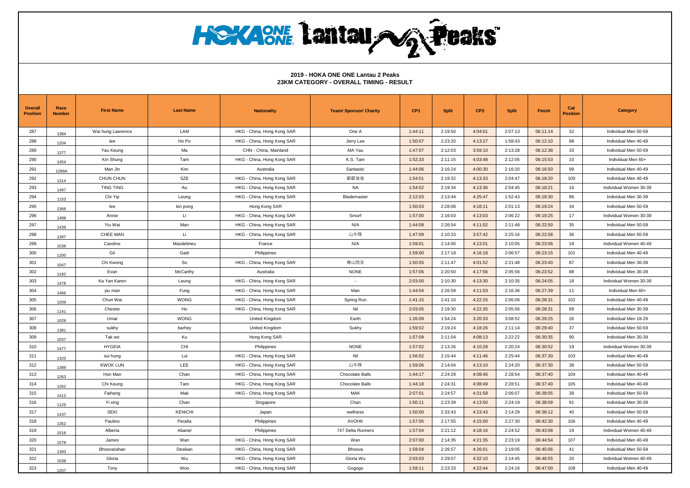# **HOYAONE Lantau NG Peaks**

| <b>Overall</b><br><b>Position</b> | Race<br><b>Number</b> | <b>First Name</b> | <b>Last Name</b> | <b>Nationality</b>         | <b>Team/ Sponsor/ Charity</b> | CP <sub>1</sub> | <b>Split</b> | CP <sub>2</sub> | <b>Split</b> | Finish   | Cat<br><b>Position</b> | <b>Category</b>        |
|-----------------------------------|-----------------------|-------------------|------------------|----------------------------|-------------------------------|-----------------|--------------|-----------------|--------------|----------|------------------------|------------------------|
| 287                               | 1384                  | Wai hung Lawrence | LAM              | HKG - China, Hong Kong SAR | One A                         | 1:44:11         | 2:19:50      | 4:04:01         | 2:07:13      | 06:11:14 | 32                     | Individual Men 50-59   |
| 288                               | 1204                  | lee               | Ho Po            | HKG - China, Hong Kong SAR | Jerry Lee                     | 1:50:07         | 2:23:20      | 4:13:27         | 1:58:43      | 06:12:10 | 98                     | Individual Men 40-49   |
| 289                               | 1377                  | Yau Keung         | Ma               | CHN - China, Mainland      | MA Yau                        | 1:47:07         | 2:12:03      | 3:59:10         | 2:13:28      | 06:12:38 | 33                     | Individual Men 50-59   |
| 290                               | 1454                  | Kin Shung         | Tam              | HKG - China, Hong Kong SAR | K.S. Tam                      | 1:52:33         | 2:11:15      | 4:03:48         | 2:12:05      | 06:15:53 | 10                     | Individual Men 60+     |
| 291                               | 1289A                 | Man Jin           | Kim              | Australia                  | Santastic                     | 1:44:06         | 2:16:24      | 4:00:30         | 2:16:20      | 06:16:50 | 99                     | Individual Men 40-49   |
| 292                               | 1314                  | CHUN CHUN         | <b>SZE</b>       | HKG - China, Hong Kong SAR | 叡叡爸爸                          | 1:54:01         | 2:19:32      | 4:13:33         | 2:04:47      | 06:18:20 | 100                    | Individual Men 40-49   |
| 293                               | 1497                  | TING TING         | Au               | HKG - China, Hong Kong SAR | <b>NA</b>                     | 1:54:02         | 2:19:34      | 4:13:36         | 2:04:45      | 06:18:21 | 16                     | Individual Women 30-39 |
| 294                               | 1153                  | Chi Yip           | Leung            | HKG - China, Hong Kong SAR | Blademaster                   | 2:12:03         | 2:13:44      | 4:25:47         | 1:52:43      | 06:18:30 | 86                     | Individual Men 30-39   |
| 295                               | 1369                  | lee               | kin pong         | Hong Kong SAR              |                               | 1:50:03         | 2:28:08      | 4:18:11         | 2:01:13      | 06:19:24 | 34                     | Individual Men 50-59   |
| 296                               | 1488                  | Annie             | Li               | HKG - China, Hong Kong SAR | Smurf                         | 1:57:00         | 2:16:03      | 4:13:03         | 2:06:22      | 06:19:25 | 17                     | Individual Women 30-39 |
| 297                               | 1439                  | Yiu Wai           | Man              | HKG - China, Hong Kong SAR | N/A                           | 1:44:08         | 2:26:54      | 4:11:02         | 2:11:48      | 06:22:50 | 35                     | Individual Men 50-59   |
| 298                               | 1397                  | CHEE MAN          | Li               | HKG - China, Hong Kong SAR | 山牛隊                           | 1:47:09         | 2:10:33      | 3:57:42         | 2:25:16      | 06:22:58 | 36                     | Individual Men 50-59   |
| 299                               | 1536                  | Caroline          | Masdebrieu       | France                     | N/A                           | 1:59:01         | 2:14:00      | 4:13:01         | 2:10:05      | 06:23:06 | 18                     | Individual Women 40-49 |
| 300                               | 1200                  | Gil               | Gadi             | Philippines                |                               | 1:59:00         | 2:17:18      | 4:16:18         | 2:06:57      | 06:23:15 | 101                    | Individual Men 40-49   |
| 301                               | 1047                  | Chi Kwong         | So               | HKG - China, Hong Kong SAR | 青山院友                          | 1:50:05         | 2:11:47      | 4:01:52         | 2:21:48      | 06:23:40 | 87                     | Individual Men 30-39   |
| 302                               | 1182                  | Evan              | McCarthy         | Australia                  | <b>NONE</b>                   | 1:57:06         | 2:20:50      | 4:17:56         | 2:05:56      | 06:23:52 | 88                     | Individual Men 30-39   |
| 303                               | 1478                  | Ka Yan Karen      | Leung            | HKG - China, Hong Kong SAR | $\sim$                        | 2:03:00         | 2:10:30      | 4:13:30         | 2:10:35      | 06:24:05 | 18                     | Individual Women 30-39 |
| 304                               | 1466                  | yiu man           | Fung             | HKG - China, Hong Kong SAR | Man                           | 1:44:04         | 2:26:59      | 4:11:03         | 2:16:36      | 06:27:39 | 11                     | Individual Men 60+     |
| 305                               | 1209                  | Chun Wai          | <b>WONG</b>      | HKG - China, Hong Kong SAR | Spring Run                    | 1:41:15         | 2:41:10      | 4:22:25         | 2:06:06      | 06:28:31 | 102                    | Individual Men 40-49   |
| 306                               | 1141                  | Chester           | Ho               | HKG - China, Hong Kong SAR | Nil                           | 2:03:05         | 2:19:30      | 4:22:35         | 2:05:56      | 06:28:31 | 89                     | Individual Men 30-39   |
| 307                               | 1029                  | Umar              | <b>WONG</b>      | United Kingdom             | Earth                         | 1:26:09         | 1:54:24      | 3:20:33         | 3:08:52      | 06:29:25 | 26                     | Individual Men 18-29   |
| 308                               | 1381                  | sukhy             | barhey           | <b>United Kingdom</b>      | Sukhy                         | 1:59:02         | 2:19:24      | 4:18:26         | 2:11:14      | 06:29:40 | 37                     | Individual Men 50-59   |
| 309                               | 1037                  | Tak wo            | Ku               | Hong Kong SAR              |                               | 1:57:09         | 2:11:04      | 4:08:13         | 2:22:22      | 06:30:35 | 90                     | Individual Men 30-39   |
| 310                               | 1477                  | <b>HYGEIA</b>     | CHI              | Philippines                | <b>NONE</b>                   | 1:57:02         | 2:13:26      | 4:10:28         | 2:20:24      | 06:30:52 | 19                     | Individual Women 30-39 |
| 311                               | 1320                  | sui hung          | Lui              | HKG - China, Hong Kong SAR | Nil                           | 1:56:02         | 2:15:44      | 4:11:46         | 2:25:44      | 06:37:30 | 103                    | Individual Men 40-49   |
| 312                               | 1389                  | <b>KWOK LUN</b>   | LEE              | HKG - China, Hong Kong SAR | 山牛隊                           | 1:59:06         | 2:14:04      | 4:13:10         | 2:24:20      | 06:37:30 | 38                     | Individual Men 50-59   |
| 313                               | 1263                  | Hon Man           | Chan             | HKG - China, Hong Kong SAR | Chocolate Balls               | 1:44:17         | 2:24:29      | 4:08:46         | 2:28:54      | 06:37:40 | 104                    | Individual Men 40-49   |
| 314                               | 1262                  | Chi Keung         | Tam              | HKG - China, Hong Kong SAR | Chocolate Balls               | 1:44:18         | 2:24:31      | 4:08:49         | 2:28:51      | 06:37:40 | 105                    | Individual Men 40-49   |
| 315                               | 1412                  | Faihang           | Mak              | HKG - China, Hong Kong SAR | MAK                           | 2:07:01         | 2:24:57      | 4:31:58         | 2:06:07      | 06:38:05 | 39                     | Individual Men 50-59   |
| 316                               | 1125                  | Yi xing           | Chan             | Singapore                  | Chan                          | 1:50:11         | 2:23:39      | 4:13:50         | 2:24:19      | 06:38:09 | 91                     | Individual Men 30-39   |
| 317                               | 1437                  | <b>SEKI</b>       | KENICHI          | Japan                      | wellness                      | 1:50:00         | 2:33:43      | 4:23:43         | 2:14:29      | 06:38:12 | 40                     | Individual Men 50-59   |
| 318                               | 1352                  | Paulino           | Peralta          | Philippines                | <b>AVOHK</b>                  | 1:57:05         | 2:17:55      | 4:15:00         | 2:27:30      | 06:42:30 | 106                    | Individual Men 40-49   |
| 319                               | 1516                  | Alberta           | Abanel           | Philippines                | 747 Delta Runners             | 1:57:04         | 2:21:12      | 4:18:16         | 2:24:52      | 06:43:08 | 19                     | Individual Women 40-49 |
| 320                               | 1578                  | James             | Wan              | HKG - China, Hong Kong SAR | Wan                           | 2:07:00         | 2:14:35      | 4:21:35         | 2:23:19      | 06:44:54 | 107                    | Individual Men 40-49   |
| 321                               | 1393                  | Bhoovarahan       | Desikan          | HKG - China, Hong Kong SAR | Bhoova                        | 1:59:04         | 2:26:57      | 4:26:01         | 2:19:05      | 06:45:06 | 41                     | Individual Men 50-59   |
| 322                               | 1538                  | Gloria            | Wu               | HKG - China, Hong Kong SAR | Gloria Wu                     | 2:03:03         | 2:29:07      | 4:32:10         | 2:14:45      | 06:46:55 | 20                     | Individual Women 40-49 |
| 323                               | 1207                  | Tony              | Woo              | HKG - China, Hong Kong SAR | Gogogo                        | 1:59:11         | 2:23:33      | 4:22:44         | 2:24:16      | 06:47:00 | 108                    | Individual Men 40-49   |